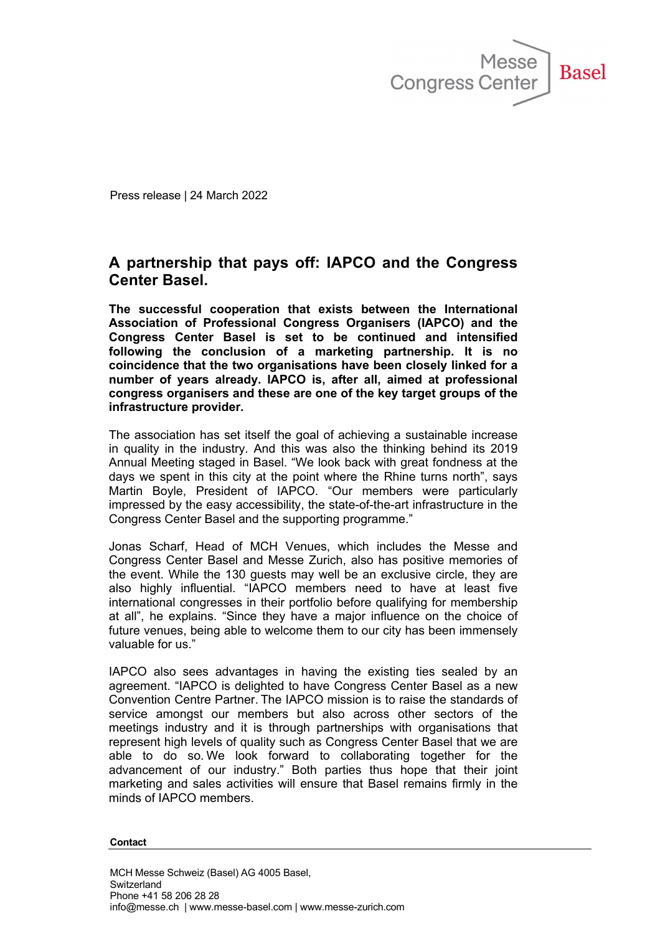

Press release | 24 March 2022

## **A partnership that pays off: IAPCO and the Congress Center Basel.**

**The successful cooperation that exists between the International Association of Professional Congress Organisers (IAPCO) and the Congress Center Basel is set to be continued and intensified following the conclusion of a marketing partnership. It is no coincidence that the two organisations have been closely linked for a number of years already. IAPCO is, after all, aimed at professional congress organisers and these are one of the key target groups of the infrastructure provider.**

The association has set itself the goal of achieving a sustainable increase in quality in the industry. And this was also the thinking behind its 2019 Annual Meeting staged in Basel. "We look back with great fondness at the days we spent in this city at the point where the Rhine turns north", says Martin Boyle, President of IAPCO. "Our members were particularly impressed by the easy accessibility, the state-of-the-art infrastructure in the Congress Center Basel and the supporting programme."

Jonas Scharf, Head of MCH Venues, which includes the Messe and Congress Center Basel and Messe Zurich, also has positive memories of the event. While the 130 guests may well be an exclusive circle, they are also highly influential. "IAPCO members need to have at least five international congresses in their portfolio before qualifying for membership at all", he explains. "Since they have a major influence on the choice of future venues, being able to welcome them to our city has been immensely valuable for us."

IAPCO also sees advantages in having the existing ties sealed by an agreement. "IAPCO is delighted to have Congress Center Basel as a new Convention Centre Partner. The IAPCO mission is to raise the standards of service amongst our members but also across other sectors of the meetings industry and it is through partnerships with organisations that represent high levels of quality such as Congress Center Basel that we are able to do so. We look forward to collaborating together for the advancement of our industry." Both parties thus hope that their joint marketing and sales activities will ensure that Basel remains firmly in the minds of IAPCO members.

**Contact**